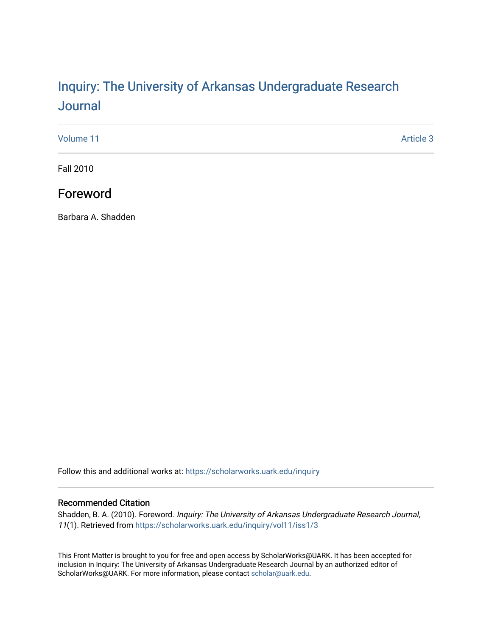# Inquiry: The Univ[ersity of Arkansas Undergraduate Resear](https://scholarworks.uark.edu/inquiry)ch [Journal](https://scholarworks.uark.edu/inquiry)

[Volume 11](https://scholarworks.uark.edu/inquiry/vol11) Article 3

Fall 2010

# Foreword

Barbara A. Shadden

Follow this and additional works at: [https://scholarworks.uark.edu/inquiry](https://scholarworks.uark.edu/inquiry?utm_source=scholarworks.uark.edu%2Finquiry%2Fvol11%2Fiss1%2F3&utm_medium=PDF&utm_campaign=PDFCoverPages)

## Recommended Citation

Shadden, B. A. (2010). Foreword. Inquiry: The University of Arkansas Undergraduate Research Journal, 11(1). Retrieved from [https://scholarworks.uark.edu/inquiry/vol11/iss1/3](https://scholarworks.uark.edu/inquiry/vol11/iss1/3?utm_source=scholarworks.uark.edu%2Finquiry%2Fvol11%2Fiss1%2F3&utm_medium=PDF&utm_campaign=PDFCoverPages)

This Front Matter is brought to you for free and open access by ScholarWorks@UARK. It has been accepted for inclusion in Inquiry: The University of Arkansas Undergraduate Research Journal by an authorized editor of ScholarWorks@UARK. For more information, please contact [scholar@uark.edu](mailto:scholar@uark.edu).